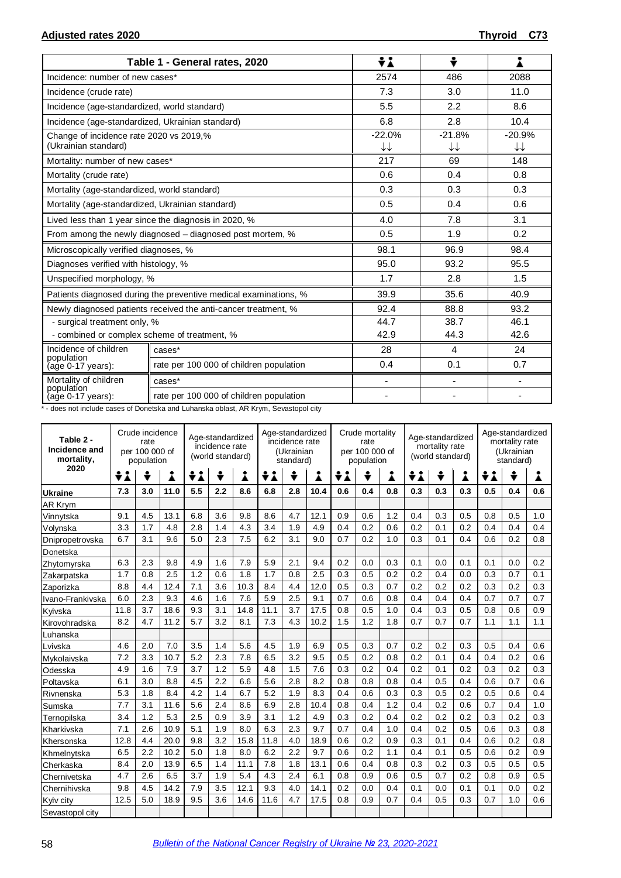|                                                                 | Table 1 - General rates, 2020                                    | ÷i                                 | ÷                            |                |  |
|-----------------------------------------------------------------|------------------------------------------------------------------|------------------------------------|------------------------------|----------------|--|
| Incidence: number of new cases*                                 |                                                                  | 2574                               | 486                          | 2088           |  |
| Incidence (crude rate)                                          |                                                                  | 7.3                                | 3.0                          | 11.0           |  |
| Incidence (age-standardized, world standard)                    |                                                                  | 5.5                                | 2.2                          | 8.6            |  |
| Incidence (age-standardized, Ukrainian standard)                |                                                                  | 6.8                                | 2.8                          | 10.4           |  |
| Change of incidence rate 2020 vs 2019,%<br>(Ukrainian standard) |                                                                  | $-22.0%$<br>$\downarrow\downarrow$ | $-21.8%$<br>↓↓               | $-20.9%$<br>↓↓ |  |
| Mortality: number of new cases*                                 |                                                                  | 217                                | 69                           | 148            |  |
| Mortality (crude rate)                                          |                                                                  | 0.6                                | 0.4                          | 0.8            |  |
| Mortality (age-standardized, world standard)                    |                                                                  | 0.3                                | 0.3                          | 0.3            |  |
| Mortality (age-standardized, Ukrainian standard)                |                                                                  | 0.5                                | 0.4                          | 0.6            |  |
|                                                                 | Lived less than 1 year since the diagnosis in 2020, %            | 4.0                                | 7.8                          | 3.1            |  |
|                                                                 | From among the newly diagnosed - diagnosed post mortem, %        | 0.5                                | 1.9                          | 0.2            |  |
| Microscopically verified diagnoses, %                           |                                                                  | 98.1                               | 96.9                         | 98.4           |  |
| Diagnoses verified with histology, %                            |                                                                  | 95.0                               | 93.2                         | 95.5           |  |
| Unspecified morphology, %                                       |                                                                  | 1.7                                | 2.8                          | 1.5            |  |
|                                                                 | Patients diagnosed during the preventive medical examinations, % | 39.9                               | 35.6                         | 40.9           |  |
|                                                                 | Newly diagnosed patients received the anti-cancer treatment, %   | 92.4                               | 88.8                         | 93.2           |  |
| - surgical treatment only, %                                    |                                                                  | 44.7                               | 38.7<br>46.1                 |                |  |
| - combined or complex scheme of treatment, %                    |                                                                  | 42.9                               | 44.3                         | 42.6           |  |
| Incidence of children                                           | cases*                                                           | 28                                 | 4                            | 24             |  |
| population<br>(age 0-17 years):                                 | rate per 100 000 of children population                          | 0.4                                | 0.1                          | 0.7            |  |
| Mortality of children                                           | cases*                                                           |                                    | $\qquad \qquad \blacksquare$ |                |  |
| population<br>$(age 0-17 years):$                               | rate per 100 000 of children population                          |                                    |                              |                |  |

\* - does not include cases of Donetska and Luhanska oblast, AR Krym, Sevastopol city

| Table 2 -<br>Incidence and<br>mortality, | Crude incidence<br>rate<br>per 100 000 of<br>population |     |      | Age-standardized<br>incidence rate<br>(world standard) |     |      | Age-standardized<br>incidence rate<br>(Ukrainian<br>standard) |     |      | Crude mortality<br>rate<br>per 100 000 of<br>population |     |     | Age-standardized<br>mortality rate<br>(world standard) |     |     | Age-standardized<br>mortality rate<br>(Ukrainian<br>standard) |     |     |
|------------------------------------------|---------------------------------------------------------|-----|------|--------------------------------------------------------|-----|------|---------------------------------------------------------------|-----|------|---------------------------------------------------------|-----|-----|--------------------------------------------------------|-----|-----|---------------------------------------------------------------|-----|-----|
| 2020                                     | ÷i                                                      | ÷   | i    | ÷i                                                     | ÷   | i    | ÷i                                                            | ÷   | Å    | ÷i                                                      | ÷   | i   | ÷i                                                     | ÷   | i   | ÷i<br>÷                                                       |     | Å   |
| <b>Ukraine</b>                           | 7.3                                                     | 3.0 | 11.0 | 5.5                                                    | 2.2 | 8.6  | 6.8                                                           | 2.8 | 10.4 | 0.6                                                     | 0.4 | 0.8 | 0.3                                                    | 0.3 | 0.3 | 0.5                                                           | 0.4 | 0.6 |
| <b>AR Krym</b>                           |                                                         |     |      |                                                        |     |      |                                                               |     |      |                                                         |     |     |                                                        |     |     |                                                               |     |     |
| Vinnytska                                | 9.1                                                     | 4.5 | 13.1 | 6.8                                                    | 3.6 | 9.8  | 8.6                                                           | 4.7 | 12.1 | 0.9                                                     | 0.6 | 1.2 | 0.4                                                    | 0.3 | 0.5 | 0.8                                                           | 0.5 | 1.0 |
| Volynska                                 | 3.3                                                     | 1.7 | 4.8  | 2.8                                                    | 1.4 | 4.3  | 3.4                                                           | 1.9 | 4.9  | 0.4                                                     | 0.2 | 0.6 | 0.2                                                    | 0.1 | 0.2 | 0.4                                                           | 0.4 | 0.4 |
| Dnipropetrovska                          | 6.7                                                     | 3.1 | 9.6  | 5.0                                                    | 2.3 | 7.5  | 6.2                                                           | 3.1 | 9.0  | 0.7                                                     | 0.2 | 1.0 | 0.3                                                    | 0.1 | 0.4 | 0.6                                                           | 0.2 | 0.8 |
| Donetska                                 |                                                         |     |      |                                                        |     |      |                                                               |     |      |                                                         |     |     |                                                        |     |     |                                                               |     |     |
| Zhytomyrska                              | 6.3                                                     | 2.3 | 9.8  | 4.9                                                    | 1.6 | 7.9  | 5.9                                                           | 2.1 | 9.4  | 0.2                                                     | 0.0 | 0.3 | 0.1                                                    | 0.0 | 0.1 | 0.1                                                           | 0.0 | 0.2 |
| Zakarpatska                              | 1.7                                                     | 0.8 | 2.5  | 1.2                                                    | 0.6 | 1.8  | 1.7                                                           | 0.8 | 2.5  | 0.3                                                     | 0.5 | 0.2 | 0.2                                                    | 0.4 | 0.0 | 0.3                                                           | 0.7 | 0.1 |
| Zaporizka                                | 8.8                                                     | 4.4 | 12.4 | 7.1                                                    | 3.6 | 10.3 | 8.4                                                           | 4.4 | 12.0 | 0.5                                                     | 0.3 | 0.7 | 0.2                                                    | 0.2 | 0.2 | 0.3                                                           | 0.2 | 0.3 |
| Ivano-Frankivska                         | 6.0                                                     | 2.3 | 9.3  | 4.6                                                    | 1.6 | 7.6  | 5.9                                                           | 2.5 | 9.1  | 0.7                                                     | 0.6 | 0.8 | 0.4                                                    | 0.4 | 0.4 | 0.7                                                           | 0.7 | 0.7 |
| Kyivska                                  | 11.8                                                    | 3.7 | 18.6 | 9.3                                                    | 3.1 | 14.8 | 11.1                                                          | 3.7 | 17.5 | 0.8                                                     | 0.5 | 1.0 | 0.4                                                    | 0.3 | 0.5 | 0.8                                                           | 0.6 | 0.9 |
| Kirovohradska                            | 8.2                                                     | 4.7 | 11.2 | 5.7                                                    | 3.2 | 8.1  | 7.3                                                           | 4.3 | 10.2 | 1.5                                                     | 1.2 | 1.8 | 0.7                                                    | 0.7 | 0.7 | 1.1                                                           | 1.1 | 1.1 |
| Luhanska                                 |                                                         |     |      |                                                        |     |      |                                                               |     |      |                                                         |     |     |                                                        |     |     |                                                               |     |     |
| Lvivska                                  | 4.6                                                     | 2.0 | 7.0  | 3.5                                                    | 1.4 | 5.6  | 4.5                                                           | 1.9 | 6.9  | 0.5                                                     | 0.3 | 0.7 | 0.2                                                    | 0.2 | 0.3 | 0.5                                                           | 0.4 | 0.6 |
| Mykolaivska                              | 7.2                                                     | 3.3 | 10.7 | 5.2                                                    | 2.3 | 7.8  | 6.5                                                           | 3.2 | 9.5  | 0.5                                                     | 0.2 | 0.8 | 0.2                                                    | 0.1 | 0.4 | 0.4                                                           | 0.2 | 0.6 |
| Odesska                                  | 4.9                                                     | 1.6 | 7.9  | 3.7                                                    | 1.2 | 5.9  | 4.8                                                           | 1.5 | 7.6  | 0.3                                                     | 0.2 | 0.4 | 0.2                                                    | 0.1 | 0.2 | 0.3                                                           | 0.2 | 0.3 |
| Poltavska                                | 6.1                                                     | 3.0 | 8.8  | 4.5                                                    | 2.2 | 6.6  | 5.6                                                           | 2.8 | 8.2  | 0.8                                                     | 0.8 | 0.8 | 0.4                                                    | 0.5 | 0.4 | 0.6                                                           | 0.7 | 0.6 |
| Rivnenska                                | 5.3                                                     | 1.8 | 8.4  | 4.2                                                    | 1.4 | 6.7  | 5.2                                                           | 1.9 | 8.3  | 0.4                                                     | 0.6 | 0.3 | 0.3                                                    | 0.5 | 0.2 | 0.5                                                           | 0.6 | 0.4 |
| Sumska                                   | 7.7                                                     | 3.1 | 11.6 | 5.6                                                    | 2.4 | 8.6  | 6.9                                                           | 2.8 | 10.4 | 0.8                                                     | 0.4 | 1.2 | 0.4                                                    | 0.2 | 0.6 | 0.7                                                           | 0.4 | 1.0 |
| Ternopilska                              | 3.4                                                     | 1.2 | 5.3  | 2.5                                                    | 0.9 | 3.9  | 3.1                                                           | 1.2 | 4.9  | 0.3                                                     | 0.2 | 0.4 | 0.2                                                    | 0.2 | 0.2 | 0.3                                                           | 0.2 | 0.3 |
| Kharkivska                               | 7.1                                                     | 2.6 | 10.9 | 5.1                                                    | 1.9 | 8.0  | 6.3                                                           | 2.3 | 9.7  | 0.7                                                     | 0.4 | 1.0 | 0.4                                                    | 0.2 | 0.5 | 0.6                                                           | 0.3 | 0.8 |
| Khersonska                               | 12.8                                                    | 4.4 | 20.0 | 9.8                                                    | 3.2 | 15.8 | 11.8                                                          | 4.0 | 18.9 | 0.6                                                     | 0.2 | 0.9 | 0.3                                                    | 0.1 | 0.4 | 0.6                                                           | 0.2 | 0.8 |
| Khmelnytska                              | 6.5                                                     | 2.2 | 10.2 | 5.0                                                    | 1.8 | 8.0  | 6.2                                                           | 2.2 | 9.7  | 0.6                                                     | 0.2 | 1.1 | 0.4                                                    | 0.1 | 0.5 | 0.6                                                           | 0.2 | 0.9 |
| Cherkaska                                | 8.4                                                     | 2.0 | 13.9 | 6.5                                                    | 1.4 | 11.1 | 7.8                                                           | 1.8 | 13.1 | 0.6                                                     | 0.4 | 0.8 | 0.3                                                    | 0.2 | 0.3 | 0.5                                                           | 0.5 | 0.5 |
| Chernivetska                             | 4.7                                                     | 2.6 | 6.5  | 3.7                                                    | 1.9 | 5.4  | 4.3                                                           | 2.4 | 6.1  | 0.8                                                     | 0.9 | 0.6 | 0.5                                                    | 0.7 | 0.2 | 0.8                                                           | 0.9 | 0.5 |
| Chernihivska                             | 9.8                                                     | 4.5 | 14.2 | 7.9                                                    | 3.5 | 12.1 | 9.3                                                           | 4.0 | 14.1 | 0.2                                                     | 0.0 | 0.4 | 0.1                                                    | 0.0 | 0.1 | 0.1                                                           | 0.0 | 0.2 |
| Kyiv city                                | 12.5                                                    | 5.0 | 18.9 | 9.5                                                    | 3.6 | 14.6 | 11.6                                                          | 4.7 | 17.5 | 0.8                                                     | 0.9 | 0.7 | 0.4                                                    | 0.5 | 0.3 | 0.7                                                           | 1.0 | 0.6 |
| Sevastopol city                          |                                                         |     |      |                                                        |     |      |                                                               |     |      |                                                         |     |     |                                                        |     |     |                                                               |     |     |